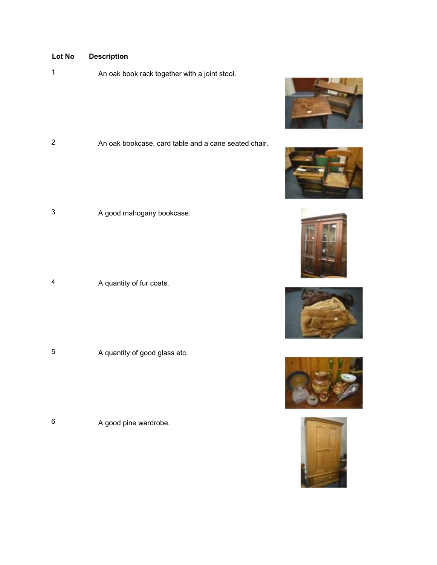<sup>1</sup> An oak book rack together with a joint stool.

2 An oak bookcase, card table and a cane seated chair.

3 A good mahogany bookcase.

<sup>4</sup> A quantity of fur coats.

<sup>5</sup> A quantity of good glass etc.

<sup>6</sup> A good pine wardrobe.











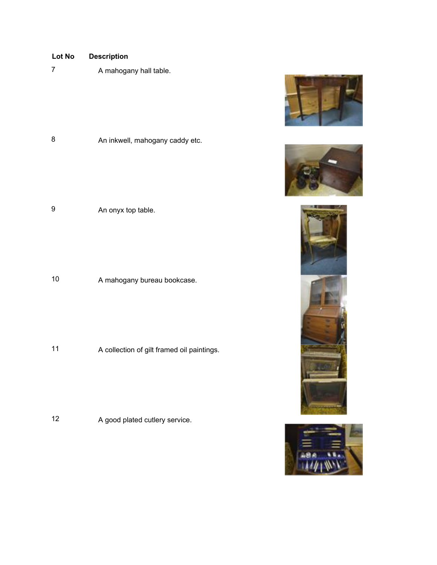| Lot No<br>$\overline{7}$ | <b>Description</b><br>A mahogany hall table. |
|--------------------------|----------------------------------------------|
| 8                        | An inkwell, mahogany caddy etc.              |
| 9                        | An onyx top table.                           |

10 A mahogany bureau bookcase.

<sup>11</sup> A collection of gilt framed oil paintings.

12 A good plated cutlery service.







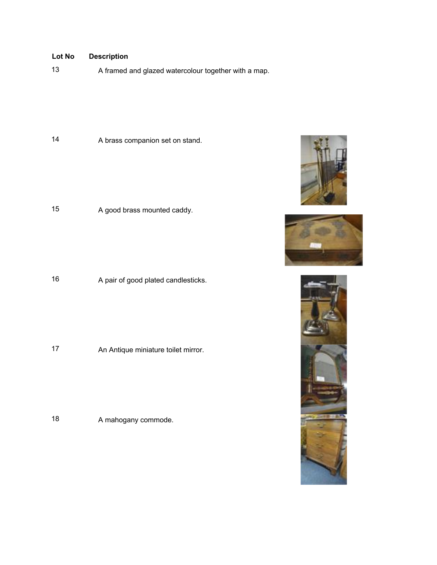13 A framed and glazed watercolour together with a map.

14 A brass companion set on stand.

<sup>15</sup> A good brass mounted caddy.

16 A pair of good plated candlesticks.

<sup>17</sup> An Antique miniature toilet mirror.

18 A mahogany commode.





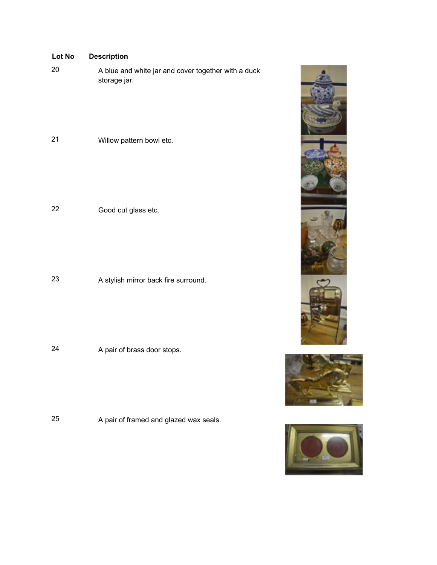| Lot No | <b>Description</b>                                                  |
|--------|---------------------------------------------------------------------|
| 20     | A blue and white jar and cover together with a duck<br>storage jar. |
| 21     | Willow pattern bowl etc.                                            |
| 22     | Good cut glass etc.                                                 |
| 23     | A stylish mirror back fire surround.                                |

24 A pair of brass door stops.

<sup>25</sup> A pair of framed and glazed wax seals.

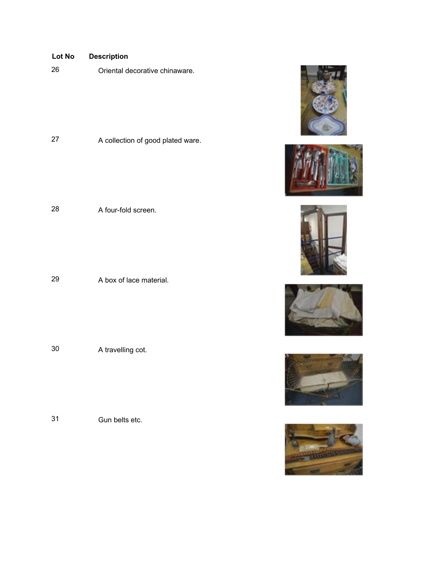| <b>Lot No</b> | <b>Description</b>                |
|---------------|-----------------------------------|
| 26            | Oriental decorative chinaware.    |
|               |                                   |
|               |                                   |
|               |                                   |
|               |                                   |
| 27            |                                   |
|               | A collection of good plated ware. |
|               |                                   |
|               |                                   |
|               |                                   |
|               |                                   |
| 28            | A four-fold screen.               |

29 A box of lace material.

<sup>30</sup> A travelling cot.

31 Gun belts etc.











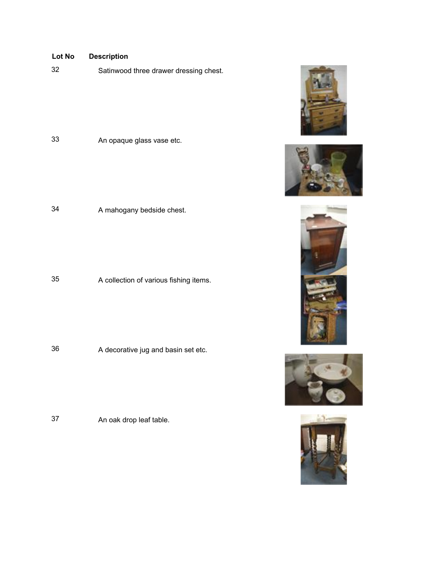| 32 | Satinwood three drawer dressing chest. |
|----|----------------------------------------|
|----|----------------------------------------|

<sup>33</sup> An opaque glass vase etc.

<sup>34</sup> A mahogany bedside chest.

<sup>35</sup> A collection of various fishing items.

<sup>36</sup> A decorative jug and basin set etc.

<sup>37</sup> An oak drop leaf table.









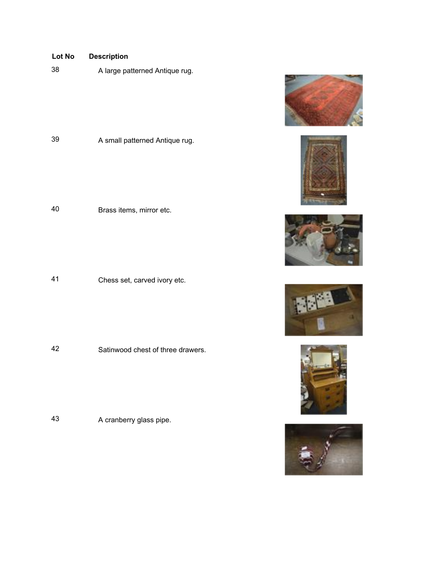<sup>38</sup> A large patterned Antique rug.

<sup>39</sup> A small patterned Antique rug.

40 Brass items, mirror etc.

<sup>41</sup> Chess set, carved ivory etc.

42 Satinwood chest of three drawers.

<sup>43</sup> A cranberry glass pipe.











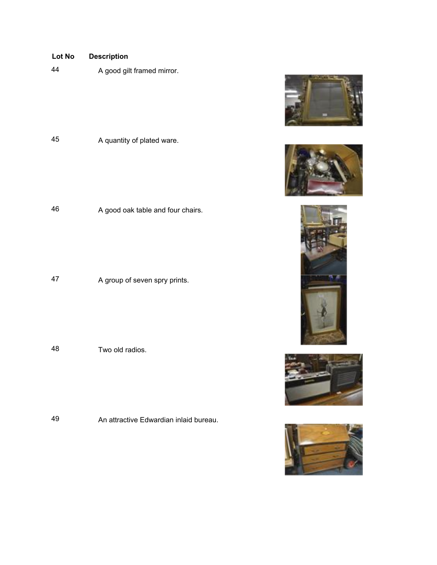

<sup>46</sup> A good oak table and four chairs.

<sup>47</sup> A group of seven spry prints.

48 Two old radios.

49 An attractive Edwardian inlaid bureau.









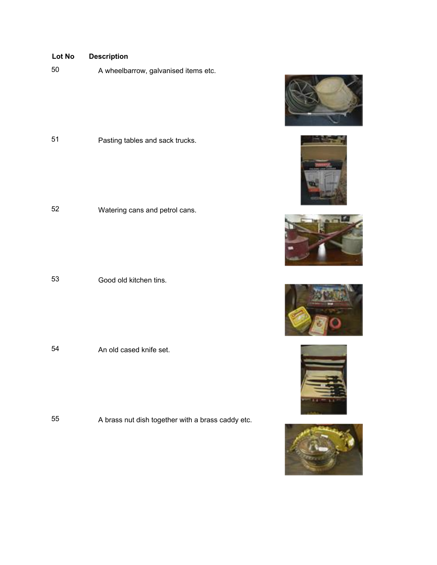<sup>50</sup> A wheelbarrow, galvanised items etc.



<sup>52</sup> Watering cans and petrol cans.

53 Good old kitchen tins.

54 An old cased knife set.

<sup>55</sup> A brass nut dish together with a brass caddy etc.











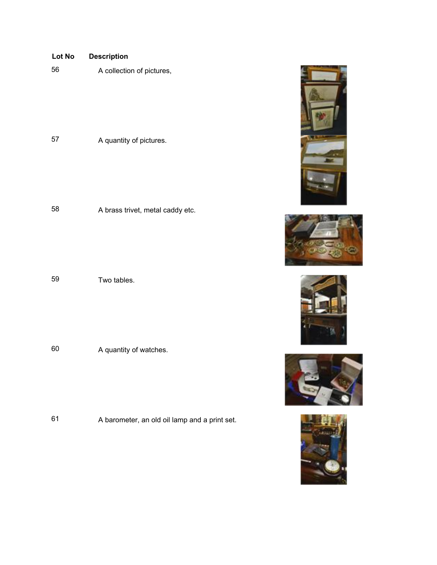| Lot No | <b>Description</b>               |
|--------|----------------------------------|
| 56     | A collection of pictures,        |
|        |                                  |
| 57     | A quantity of pictures.          |
|        |                                  |
| 58     | A brass trivet, metal caddy etc. |
|        |                                  |

59 Two tables.

<sup>60</sup> A quantity of watches.

<sup>61</sup> A barometer, an old oil lamp and a print set.









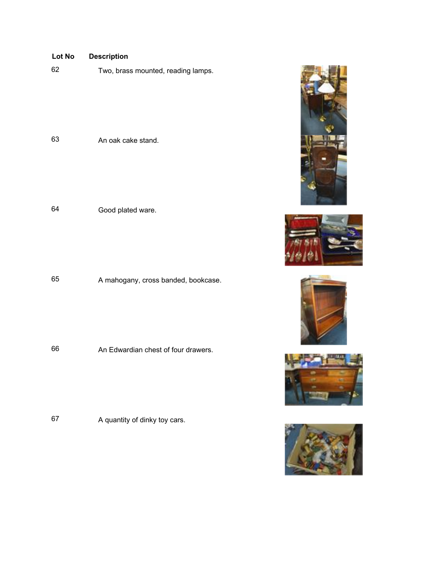|  | Lot No |  | <b>Description</b> |  |
|--|--------|--|--------------------|--|
|--|--------|--|--------------------|--|

| 62 |  | Two, brass mounted, reading lamps. |
|----|--|------------------------------------|
|----|--|------------------------------------|

63 An oak cake stand.

<sup>64</sup> Good plated ware.

<sup>65</sup> A mahogany, cross banded, bookcase.

66 An Edwardian chest of four drawers.

67 A quantity of dinky toy cars.









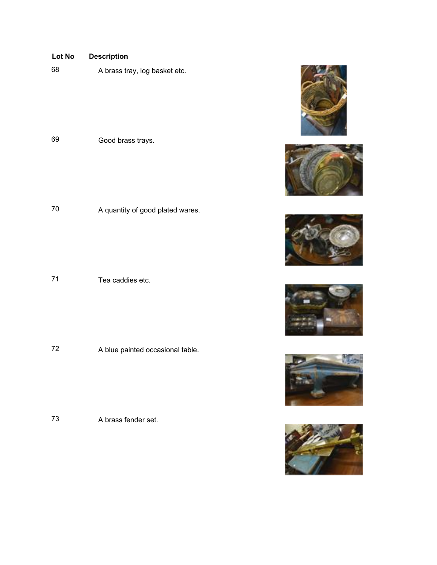68 A brass tray, log basket etc.

<sup>69</sup> Good brass trays.

70 A quantity of good plated wares.

71 Tea caddies etc.

72 A blue painted occasional table.

73 A brass fender set.











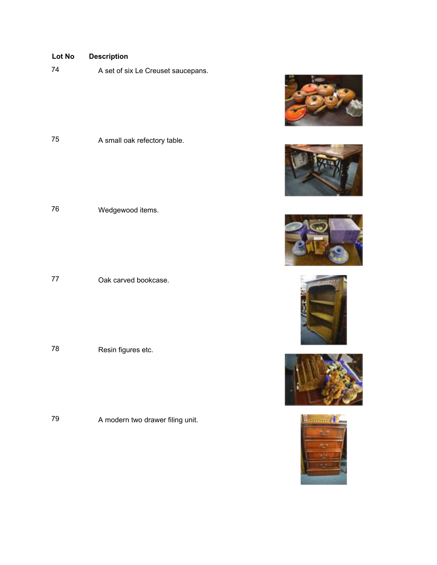74 A set of six Le Creuset saucepans.

75 A small oak refectory table.

<sup>76</sup> Wedgewood items.

77 Oak carved bookcase.

<sup>78</sup> Resin figures etc.

79 A modern two drawer filing unit.











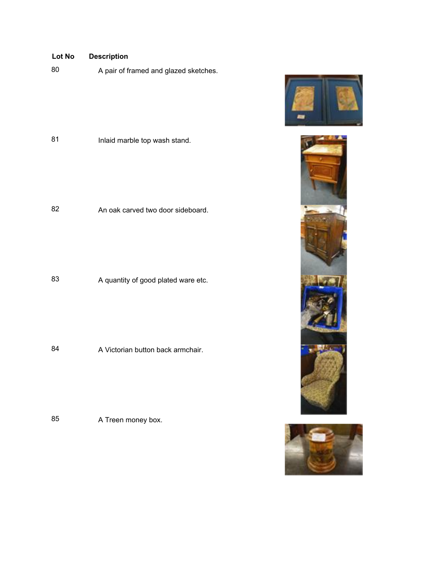| Lot No | <b>Description</b>                    |
|--------|---------------------------------------|
| 80     | A pair of framed and glazed sketches. |
| 81     | Inlaid marble top wash stand.         |
| 82     | An oak carved two door sideboard.     |
| 83     | A quantity of good plated ware etc.   |

84 A Victorian button back armchair.

85 A Treen money box.





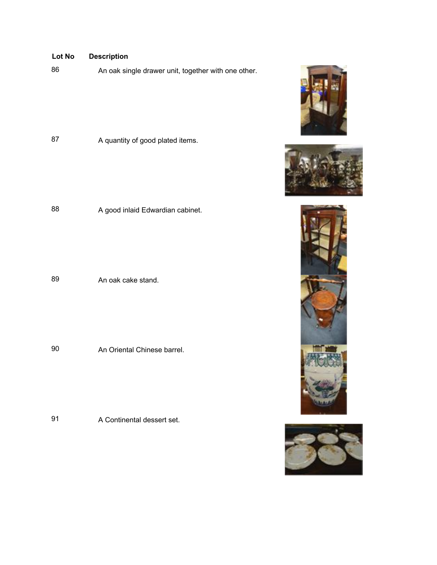# 86 An oak single drawer unit, together with one other. **Lot No Description**

87 A quantity of good plated items.

88 A good inlaid Edwardian cabinet.

89 **An oak cake stand.** 

90 An Oriental Chinese barrel.

91 A Continental dessert set.







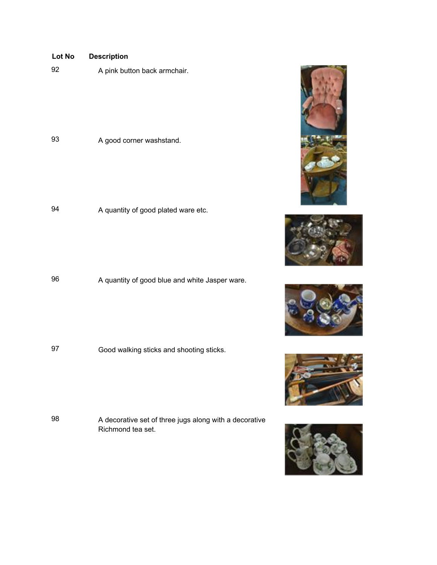| Lot No<br><b>Description</b> |
|------------------------------|
|------------------------------|

93 A good corner washstand.

94 A quantity of good plated ware etc.

96 A quantity of good blue and white Jasper ware.

<sup>97</sup> Good walking sticks and shooting sticks.

98 A decorative set of three jugs along with a decorative Richmond tea set.









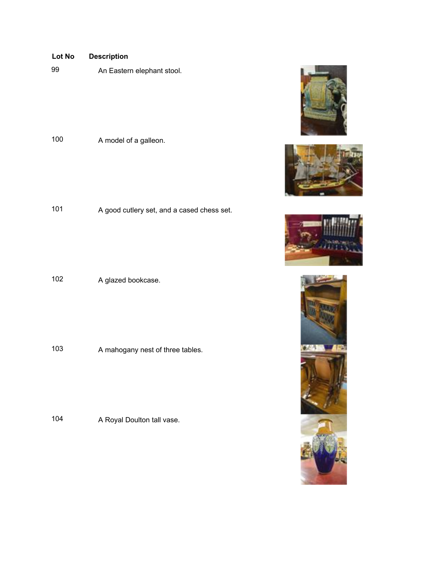<sup>99</sup> An Eastern elephant stool.

<sup>100</sup> A model of a galleon.

101 A good cutlery set, and a cased chess set.

102 A glazed bookcase.

103 A mahogany nest of three tables.

104 A Royal Doulton tall vase.







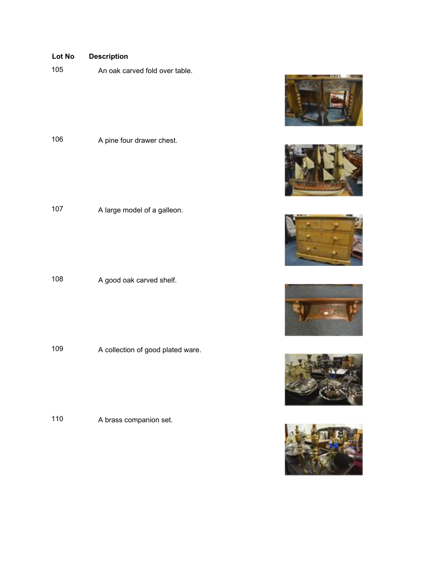105 An oak carved fold over table.

106 A pine four drawer chest.

107 A large model of a galleon.

108 A good oak carved shelf.

109 A collection of good plated ware.

<sup>110</sup> A brass companion set.











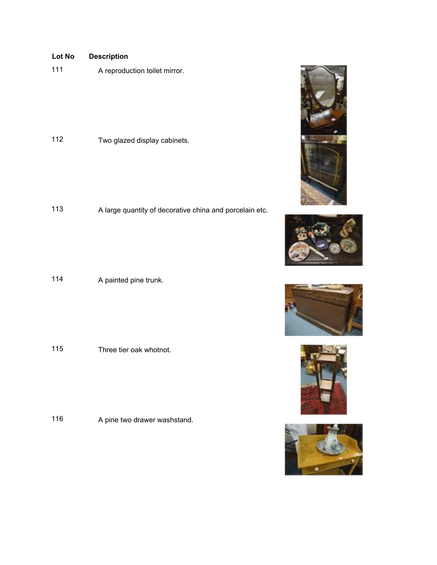<sup>111</sup> A reproduction toilet mirror.

<sup>112</sup> Two glazed display cabinets.

<sup>113</sup> A large quantity of decorative china and porcelain etc.

114 A painted pine trunk.

115 Three tier oak whotnot.

116 A pine two drawer washstand.









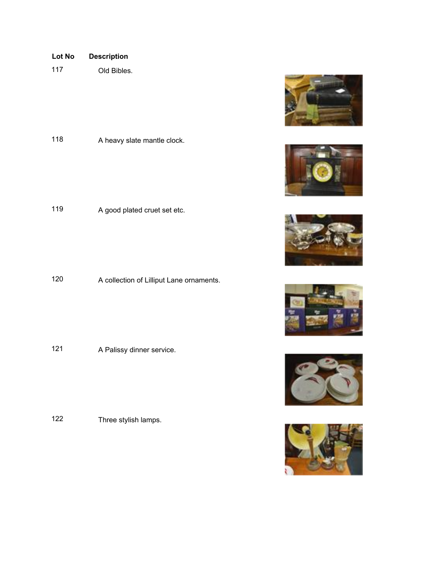- **Lot No Description**
- 117 Old Bibles.

118 A heavy slate mantle clock.

<sup>119</sup> A good plated cruet set etc.

<sup>120</sup> A collection of Lilliput Lane ornaments.

121 A Palissy dinner service.

<sup>122</sup> Three stylish lamps.











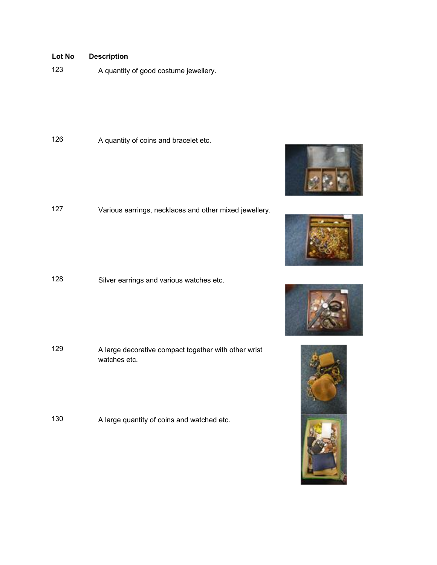123 A quantity of good costume jewellery.

126 A quantity of coins and bracelet etc.

<sup>127</sup> Various earrings, necklaces and other mixed jewellery.

<sup>128</sup> Silver earrings and various watches etc.

<sup>129</sup> A large decorative compact together with other wrist watches etc.

<sup>130</sup> A large quantity of coins and watched etc.







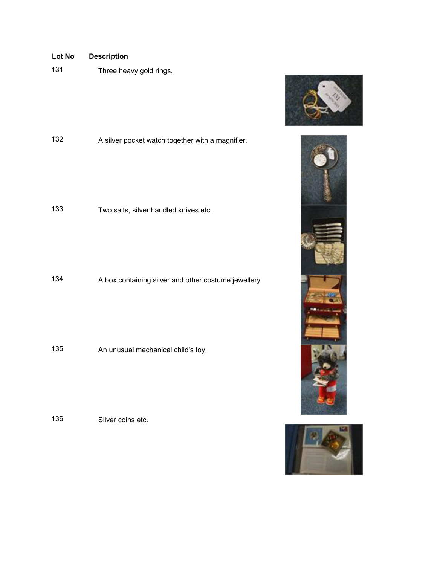Three heavy gold rings.



Two salts, silver handled knives etc.

A box containing silver and other costume jewellery.

An unusual mechanical child's toy.

Silver coins etc.



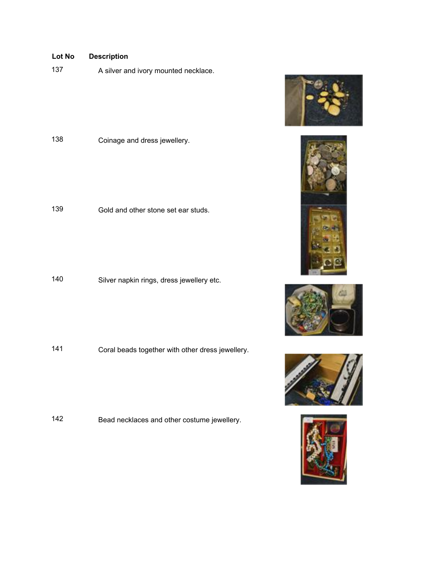137 A silver and ivory mounted necklace.

Coinage and dress jewellery.

Gold and other stone set ear studs.

Silver napkin rings, dress jewellery etc.

Coral beads together with other dress jewellery.

Bead necklaces and other costume jewellery.









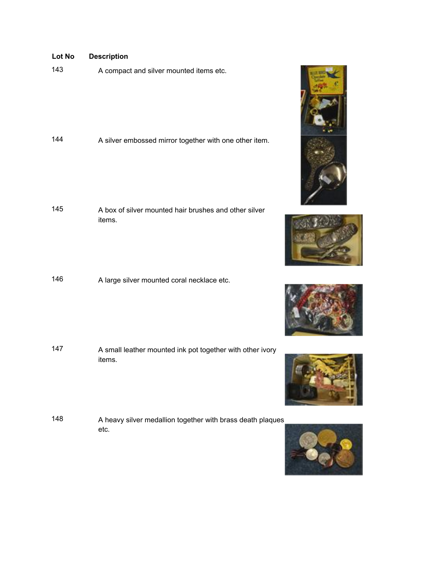<sup>143</sup> A compact and silver mounted items etc.

<sup>144</sup> A silver embossed mirror together with one other item.

- 145 A box of silver mounted hair brushes and other silver items.
- <sup>146</sup> A large silver mounted coral necklace etc.

- <sup>147</sup> A small leather mounted ink pot together with other ivory items.
- <sup>148</sup> A heavy silver medallion together with brass death plaques etc.









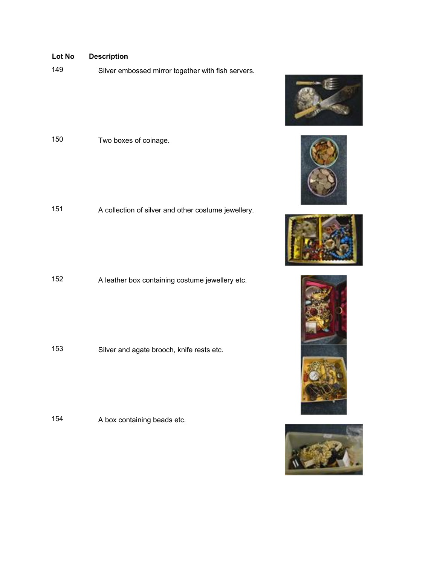Silver embossed mirror together with fish servers.



A collection of silver and other costume jewellery.

A leather box containing costume jewellery etc.

Silver and agate brooch, knife rests etc.

A box containing beads etc.









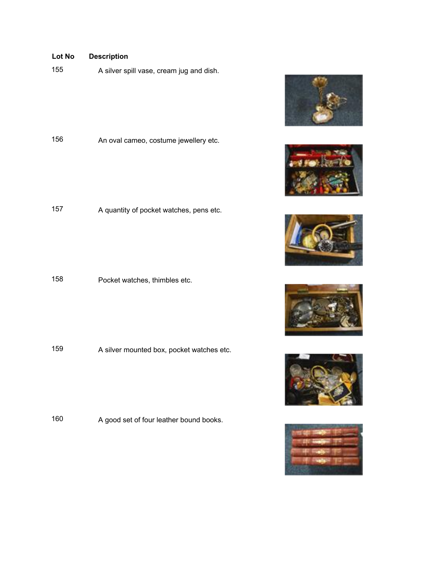A silver spill vase, cream jug and dish.

An oval cameo, costume jewellery etc.

A quantity of pocket watches, pens etc.

Pocket watches, thimbles etc.

A silver mounted box, pocket watches etc.

A good set of four leather bound books.











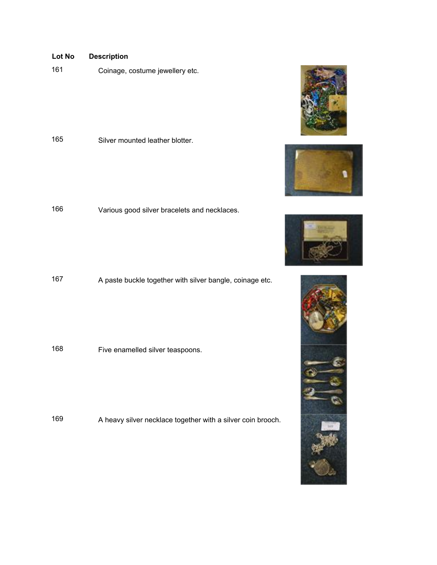Coinage, costume jewellery etc.

Silver mounted leather blotter.

Various good silver bracelets and necklaces.

A paste buckle together with silver bangle, coinage etc.

Five enamelled silver teaspoons.

A heavy silver necklace together with a silver coin brooch.







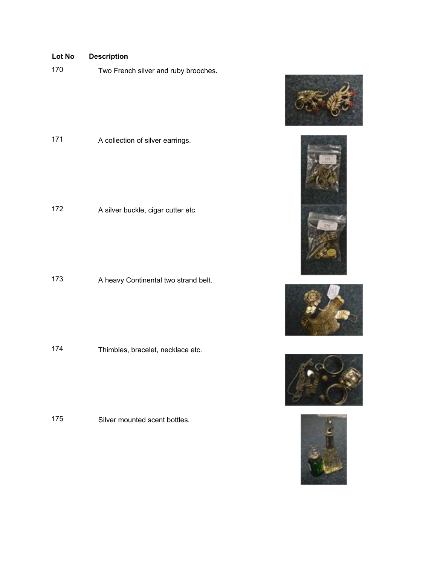<sup>170</sup> Two French silver and ruby brooches.



172 A silver buckle, cigar cutter etc.

173 A heavy Continental two strand belt.

174 Thimbles, bracelet, necklace etc.

175 Silver mounted scent bottles.









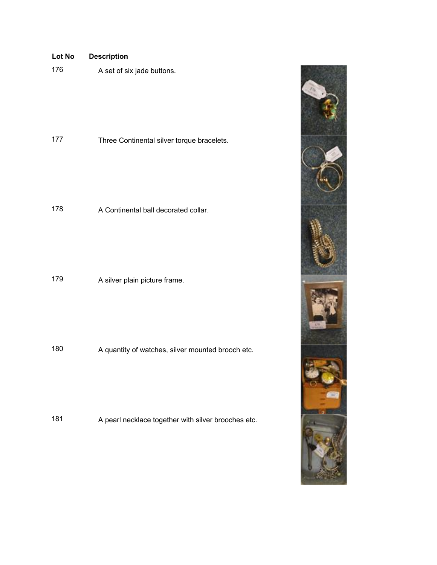| Lot No | <b>Description</b>                         |  |
|--------|--------------------------------------------|--|
| 176    | A set of six jade buttons.                 |  |
| 177    | Three Continental silver torque bracelets. |  |
| 178    | A Continental ball decorated collar.       |  |
| 179    | A silver plain picture frame.              |  |

180 A quantity of watches, silver mounted brooch etc.

181 A pearl necklace together with silver brooches etc.

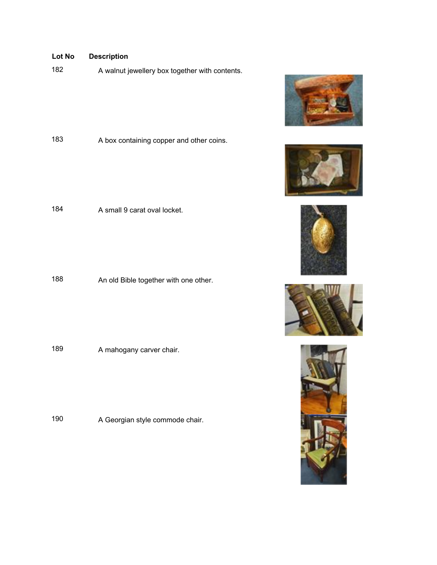182 A walnut jewellery box together with contents.





<sup>188</sup> An old Bible together with one other.

189 A mahogany carver chair.

190 A Georgian style commode chair.









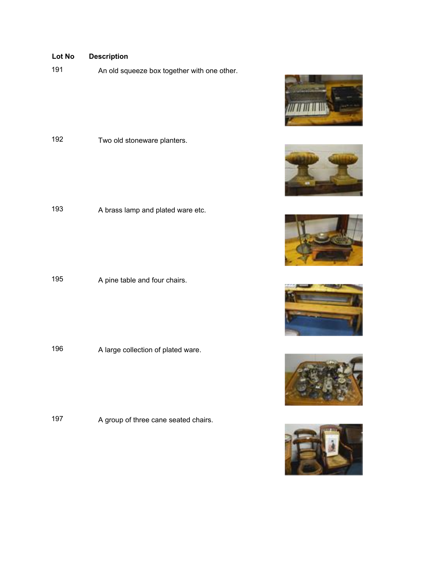191 An old squeeze box together with one other.

<sup>192</sup> Two old stoneware planters.

<sup>193</sup> A brass lamp and plated ware etc.

195 A pine table and four chairs.

196 A large collection of plated ware.

197 A group of three cane seated chairs.











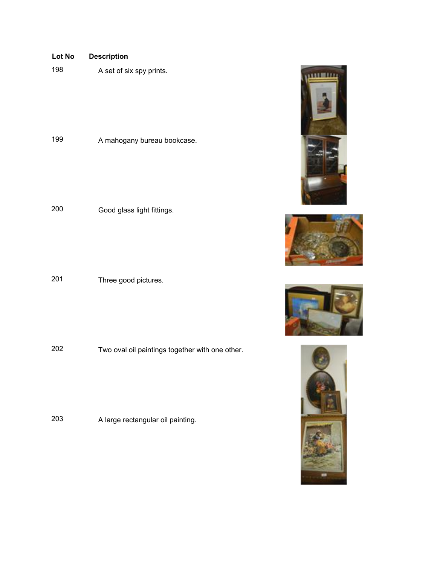

198 A set of six spy prints.

199 A mahogany bureau bookcase.

<sup>200</sup> Good glass light fittings.

<sup>201</sup> Three good pictures.

<sup>202</sup> Two oval oil paintings together with one other.

<sup>203</sup> A large rectangular oil painting.







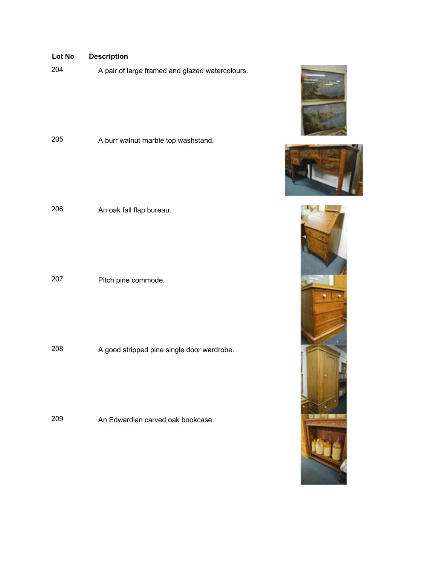# A pair of large framed and glazed watercolours. A burr walnut marble top washstand. An oak fall flap bureau. Pitch pine commode. A good stripped pine single door wardrobe. **Lot No Description**

An Edwardian carved oak bookcase.





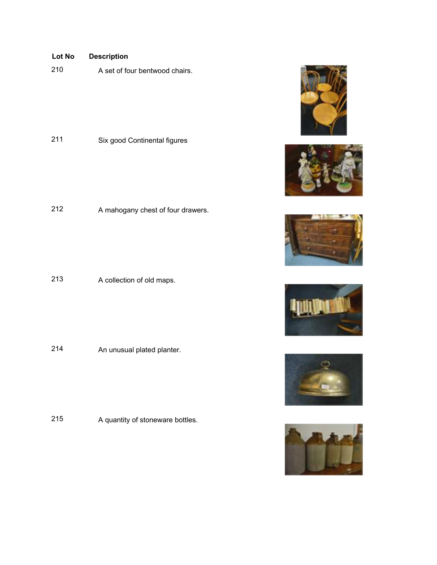A set of four bentwood chairs.

Six good Continental figures

A mahogany chest of four drawers.

A collection of old maps.

An unusual plated planter.

A quantity of stoneware bottles.











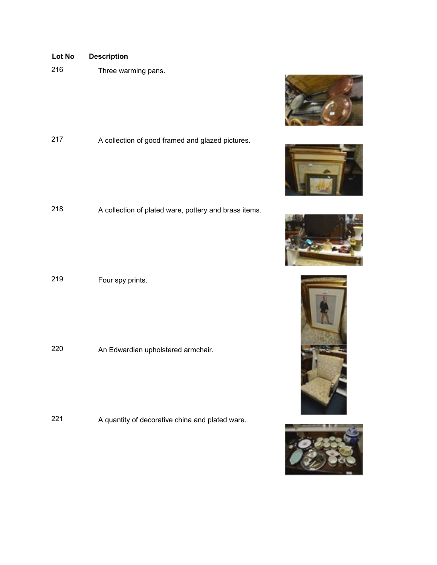Three warming pans.

A collection of good framed and glazed pictures.

A collection of plated ware, pottery and brass items.

Four spy prints.

An Edwardian upholstered armchair.

A quantity of decorative china and plated ware.









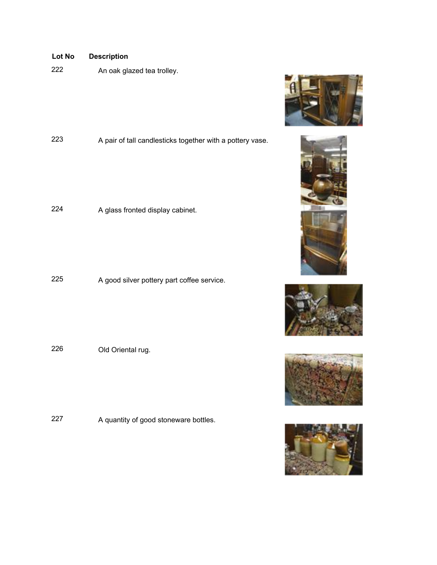An oak glazed tea trolley.











A pair of tall candlesticks together with a pottery vase.

A glass fronted display cabinet.

A good silver pottery part coffee service.

Old Oriental rug.

A quantity of good stoneware bottles.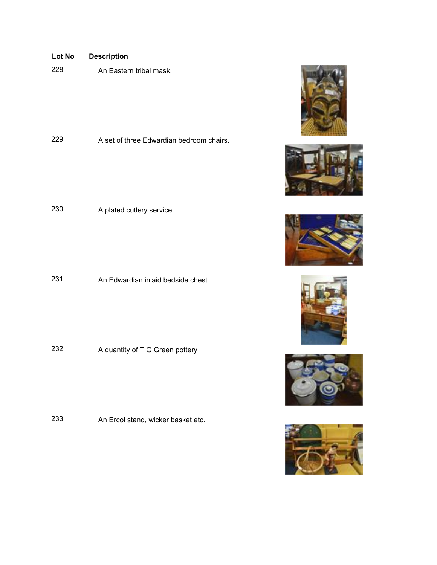| Lot No | <b>Description</b> |
|--------|--------------------|
|--------|--------------------|

An Eastern tribal mask.

A set of three Edwardian bedroom chairs.

A plated cutlery service.

An Edwardian inlaid bedside chest.

232 A quantity of T G Green pottery

An Ercol stand, wicker basket etc.











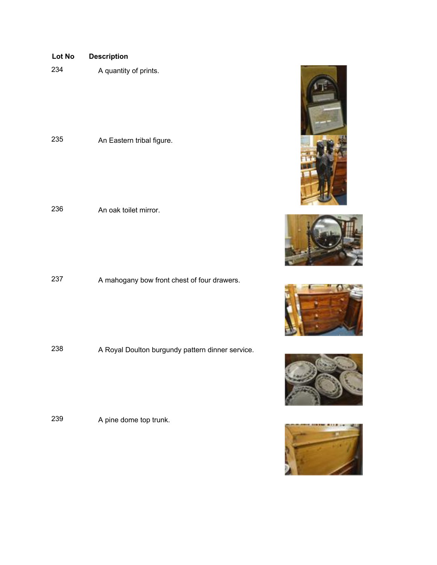| Lot No | <b>Description</b>        |
|--------|---------------------------|
| 234    | A quantity of prints.     |
|        |                           |
|        |                           |
|        |                           |
|        |                           |
| 235    | An Eastern tribal figure. |
|        |                           |
|        |                           |
|        |                           |
|        |                           |

236 An oak toilet mirror.

237 A mahogany bow front chest of four drawers.

238 A Royal Doulton burgundy pattern dinner service.

<sup>239</sup> A pine dome top trunk.









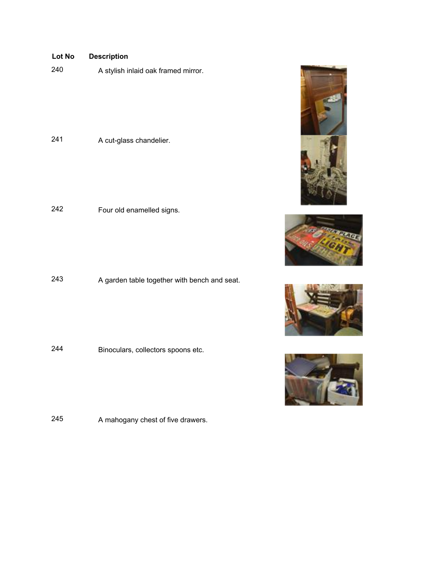| 240 | A stylish inlaid oak framed mirror. |
|-----|-------------------------------------|
|-----|-------------------------------------|

A cut-glass chandelier.

Four old enamelled signs.

A garden table together with bench and seat.

Binoculars, collectors spoons etc.

A mahogany chest of five drawers.







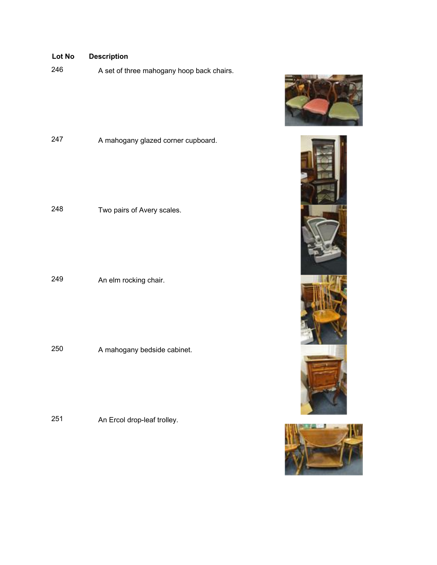A set of three mahogany hoop back chairs.

A mahogany glazed corner cupboard.

Two pairs of Avery scales.

An elm rocking chair.

A mahogany bedside cabinet.

An Ercol drop-leaf trolley.





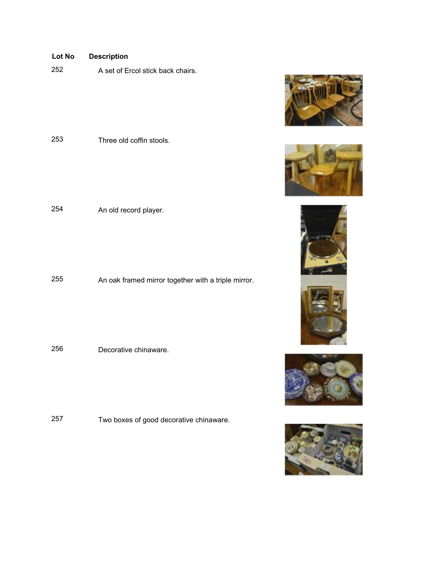A set of Ercol stick back chairs.

Three old coffin stools.

An old record player.

An oak framed mirror together with a triple mirror.

Decorative chinaware.

Two boxes of good decorative chinaware.











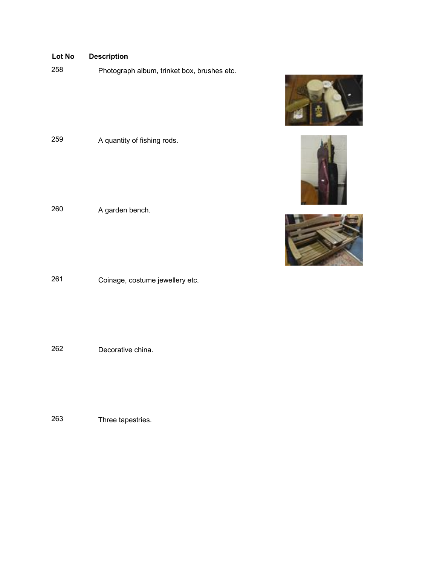Photograph album, trinket box, brushes etc.







A garden bench.

A quantity of fishing rods.

Coinage, costume jewellery etc.

Decorative china.

Three tapestries.